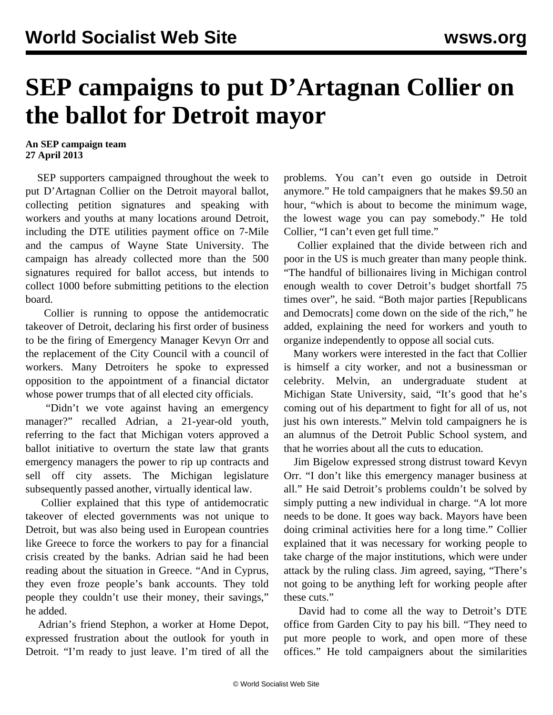## **SEP campaigns to put D'Artagnan Collier on the ballot for Detroit mayor**

## **An SEP campaign team 27 April 2013**

 SEP supporters campaigned throughout the week to put D'Artagnan Collier on the Detroit mayoral ballot, collecting petition signatures and speaking with workers and youths at many locations around Detroit, including the DTE utilities payment office on 7-Mile and the campus of Wayne State University. The campaign has already collected more than the 500 signatures required for ballot access, but intends to collect 1000 before submitting petitions to the election board.

 Collier is running to oppose the antidemocratic takeover of Detroit, declaring his first order of business to be the firing of Emergency Manager Kevyn Orr and the replacement of the City Council with a council of workers. Many Detroiters he spoke to expressed opposition to the appointment of a financial dictator whose power trumps that of all elected city officials.

 "Didn't we vote against having an emergency manager?" recalled Adrian, a 21-year-old youth, referring to the fact that Michigan voters approved a ballot initiative to overturn the state law that grants emergency managers the power to rip up contracts and sell off city assets. The Michigan legislature subsequently passed another, virtually identical law.

 Collier explained that this type of antidemocratic takeover of elected governments was not unique to Detroit, but was also being used in European countries like Greece to force the workers to pay for a financial crisis created by the banks. Adrian said he had been reading about the situation in Greece. "And in Cyprus, they even froze people's bank accounts. They told people they couldn't use their money, their savings," he added.

 Adrian's friend Stephon, a worker at Home Depot, expressed frustration about the outlook for youth in Detroit. "I'm ready to just leave. I'm tired of all the problems. You can't even go outside in Detroit anymore." He told campaigners that he makes \$9.50 an hour, "which is about to become the minimum wage, the lowest wage you can pay somebody." He told Collier, "I can't even get full time."

 Collier explained that the divide between rich and poor in the US is much greater than many people think. "The handful of billionaires living in Michigan control enough wealth to cover Detroit's budget shortfall 75 times over", he said. "Both major parties [Republicans and Democrats] come down on the side of the rich," he added, explaining the need for workers and youth to organize independently to oppose all social cuts.

 Many workers were interested in the fact that Collier is himself a city worker, and not a businessman or celebrity. Melvin, an undergraduate student at Michigan State University, said, "It's good that he's coming out of his department to fight for all of us, not just his own interests." Melvin told campaigners he is an alumnus of the Detroit Public School system, and that he worries about all the cuts to education.

 Jim Bigelow expressed strong distrust toward Kevyn Orr. "I don't like this emergency manager business at all." He said Detroit's problems couldn't be solved by simply putting a new individual in charge. "A lot more needs to be done. It goes way back. Mayors have been doing criminal activities here for a long time." Collier explained that it was necessary for working people to take charge of the major institutions, which were under attack by the ruling class. Jim agreed, saying, "There's not going to be anything left for working people after these cuts."

 David had to come all the way to Detroit's DTE office from Garden City to pay his bill. "They need to put more people to work, and open more of these offices." He told campaigners about the similarities